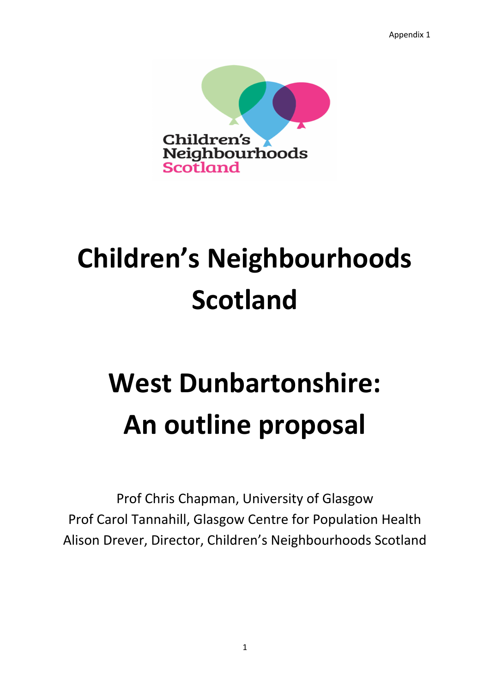Appendix 1



# **Children's Neighbourhoods Scotland**

# **West Dunbartonshire: An outline proposal**

Prof Chris Chapman, University of Glasgow Prof Carol Tannahill, Glasgow Centre for Population Health Alison Drever, Director, Children's Neighbourhoods Scotland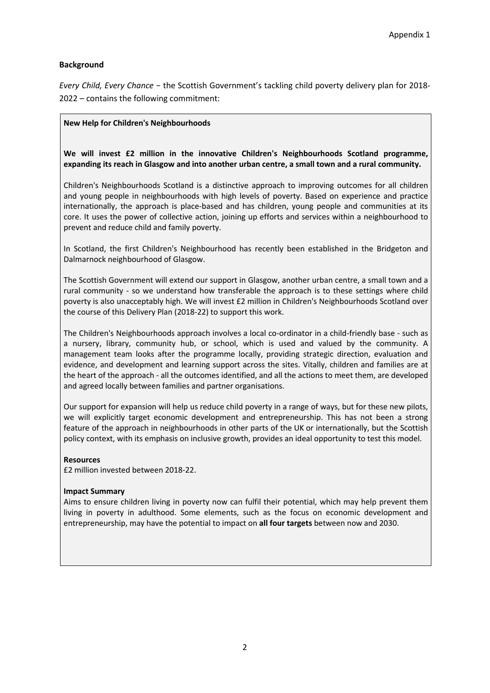## **Background**

*Every Child, Every Chance −* the Scottish Government's tackling child poverty delivery plan for 2018- 2022 – contains the following commitment:

#### **New Help for Children's Neighbourhoods**

**We will invest £2 million in the innovative Children's Neighbourhoods Scotland programme, expanding its reach in Glasgow and into another urban centre, a small town and a rural community.** 

Children's Neighbourhoods Scotland is a distinctive approach to improving outcomes for all children and young people in neighbourhoods with high levels of poverty. Based on experience and practice internationally, the approach is place-based and has children, young people and communities at its core. It uses the power of collective action, joining up efforts and services within a neighbourhood to prevent and reduce child and family poverty.

In Scotland, the first Children's Neighbourhood has recently been established in the Bridgeton and Dalmarnock neighbourhood of Glasgow.

The Scottish Government will extend our support in Glasgow, another urban centre, a small town and a rural community - so we understand how transferable the approach is to these settings where child poverty is also unacceptably high. We will invest £2 million in Children's Neighbourhoods Scotland over the course of this Delivery Plan (2018-22) to support this work.

The Children's Neighbourhoods approach involves a local co-ordinator in a child-friendly base - such as a nursery, library, community hub, or school, which is used and valued by the community. A management team looks after the programme locally, providing strategic direction, evaluation and evidence, and development and learning support across the sites. Vitally, children and families are at the heart of the approach - all the outcomes identified, and all the actions to meet them, are developed and agreed locally between families and partner organisations.

Our support for expansion will help us reduce child poverty in a range of ways, but for these new pilots, we will explicitly target economic development and entrepreneurship. This has not been a strong feature of the approach in neighbourhoods in other parts of the UK or internationally, but the Scottish policy context, with its emphasis on inclusive growth, provides an ideal opportunity to test this model.

#### **Resources**

£2 million invested between 2018-22.

#### **Impact Summary**

Aims to ensure children living in poverty now can fulfil their potential, which may help prevent them living in poverty in adulthood. Some elements, such as the focus on economic development and entrepreneurship, may have the potential to impact on **all four targets** between now and 2030.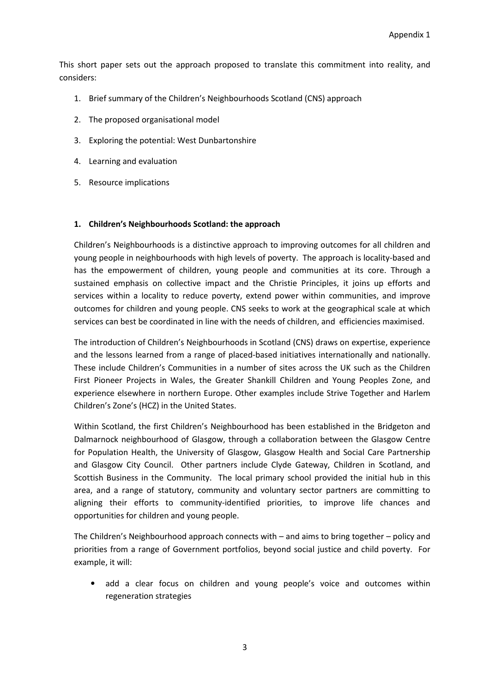This short paper sets out the approach proposed to translate this commitment into reality, and considers:

- 1. Brief summary of the Children's Neighbourhoods Scotland (CNS) approach
- 2. The proposed organisational model
- 3. Exploring the potential: West Dunbartonshire
- 4. Learning and evaluation
- 5. Resource implications

## **1. Children's Neighbourhoods Scotland: the approach**

Children's Neighbourhoods is a distinctive approach to improving outcomes for all children and young people in neighbourhoods with high levels of poverty. The approach is locality-based and has the empowerment of children, young people and communities at its core. Through a sustained emphasis on collective impact and the Christie Principles, it joins up efforts and services within a locality to reduce poverty, extend power within communities, and improve outcomes for children and young people. CNS seeks to work at the geographical scale at which services can best be coordinated in line with the needs of children, and efficiencies maximised.

The introduction of Children's Neighbourhoods in Scotland (CNS) draws on expertise, experience and the lessons learned from a range of placed-based initiatives internationally and nationally. These include Children's Communities in a number of sites across the UK such as the Children First Pioneer Projects in Wales, the Greater Shankill Children and Young Peoples Zone, and experience elsewhere in northern Europe. Other examples include Strive Together and Harlem Children's Zone's (HCZ) in the United States.

Within Scotland, the first Children's Neighbourhood has been established in the Bridgeton and Dalmarnock neighbourhood of Glasgow, through a collaboration between the Glasgow Centre for Population Health, the University of Glasgow, Glasgow Health and Social Care Partnership and Glasgow City Council. Other partners include Clyde Gateway, Children in Scotland, and Scottish Business in the Community. The local primary school provided the initial hub in this area, and a range of statutory, community and voluntary sector partners are committing to aligning their efforts to community-identified priorities, to improve life chances and opportunities for children and young people.

The Children's Neighbourhood approach connects with – and aims to bring together – policy and priorities from a range of Government portfolios, beyond social justice and child poverty. For example, it will:

• add a clear focus on children and young people's voice and outcomes within regeneration strategies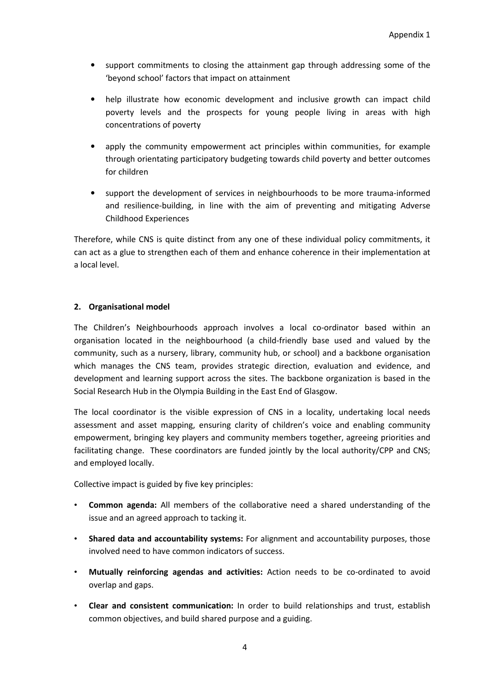- support commitments to closing the attainment gap through addressing some of the 'beyond school' factors that impact on attainment
- help illustrate how economic development and inclusive growth can impact child poverty levels and the prospects for young people living in areas with high concentrations of poverty
- apply the community empowerment act principles within communities, for example through orientating participatory budgeting towards child poverty and better outcomes for children
- support the development of services in neighbourhoods to be more trauma-informed and resilience-building, in line with the aim of preventing and mitigating Adverse Childhood Experiences

Therefore, while CNS is quite distinct from any one of these individual policy commitments, it can act as a glue to strengthen each of them and enhance coherence in their implementation at a local level.

## **2. Organisational model**

The Children's Neighbourhoods approach involves a local co-ordinator based within an organisation located in the neighbourhood (a child-friendly base used and valued by the community, such as a nursery, library, community hub, or school) and a backbone organisation which manages the CNS team, provides strategic direction, evaluation and evidence, and development and learning support across the sites. The backbone organization is based in the Social Research Hub in the Olympia Building in the East End of Glasgow.

The local coordinator is the visible expression of CNS in a locality, undertaking local needs assessment and asset mapping, ensuring clarity of children's voice and enabling community empowerment, bringing key players and community members together, agreeing priorities and facilitating change. These coordinators are funded jointly by the local authority/CPP and CNS; and employed locally.

Collective impact is guided by five key principles:

- **Common agenda:** All members of the collaborative need a shared understanding of the issue and an agreed approach to tacking it.
- **Shared data and accountability systems:** For alignment and accountability purposes, those involved need to have common indicators of success.
- **Mutually reinforcing agendas and activities:** Action needs to be co-ordinated to avoid overlap and gaps.
- **Clear and consistent communication:** In order to build relationships and trust, establish common objectives, and build shared purpose and a guiding.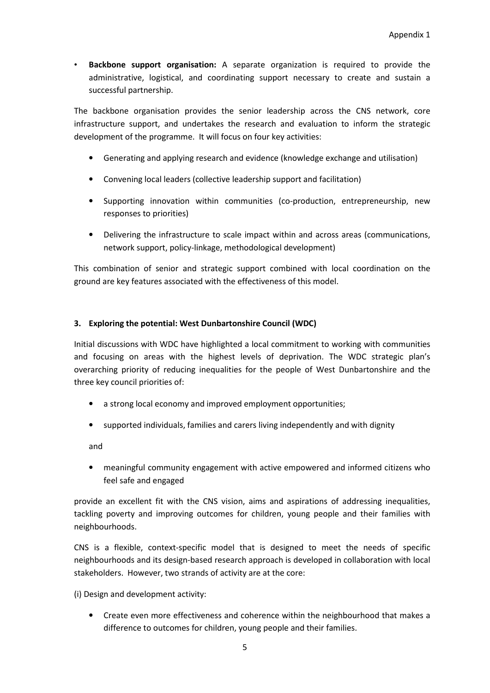• **Backbone support organisation:** A separate organization is required to provide the administrative, logistical, and coordinating support necessary to create and sustain a successful partnership.

The backbone organisation provides the senior leadership across the CNS network, core infrastructure support, and undertakes the research and evaluation to inform the strategic development of the programme. It will focus on four key activities:

- Generating and applying research and evidence (knowledge exchange and utilisation)
- Convening local leaders (collective leadership support and facilitation)
- Supporting innovation within communities (co-production, entrepreneurship, new responses to priorities)
- Delivering the infrastructure to scale impact within and across areas (communications, network support, policy-linkage, methodological development)

This combination of senior and strategic support combined with local coordination on the ground are key features associated with the effectiveness of this model.

## **3. Exploring the potential: West Dunbartonshire Council (WDC)**

Initial discussions with WDC have highlighted a local commitment to working with communities and focusing on areas with the highest levels of deprivation. The WDC strategic plan's overarching priority of reducing inequalities for the people of West Dunbartonshire and the three key council priorities of:

- a strong local economy and improved employment opportunities;
- supported individuals, families and carers living independently and with dignity

and

• meaningful community engagement with active empowered and informed citizens who feel safe and engaged

provide an excellent fit with the CNS vision, aims and aspirations of addressing inequalities, tackling poverty and improving outcomes for children, young people and their families with neighbourhoods.

CNS is a flexible, context-specific model that is designed to meet the needs of specific neighbourhoods and its design-based research approach is developed in collaboration with local stakeholders. However, two strands of activity are at the core:

(i) Design and development activity:

• Create even more effectiveness and coherence within the neighbourhood that makes a difference to outcomes for children, young people and their families.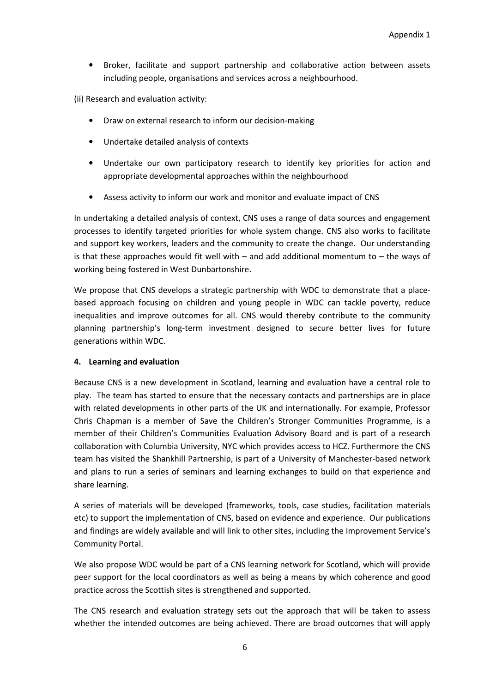• Broker, facilitate and support partnership and collaborative action between assets including people, organisations and services across a neighbourhood.

(ii) Research and evaluation activity:

- Draw on external research to inform our decision-making
- Undertake detailed analysis of contexts
- Undertake our own participatory research to identify key priorities for action and appropriate developmental approaches within the neighbourhood
- Assess activity to inform our work and monitor and evaluate impact of CNS

In undertaking a detailed analysis of context, CNS uses a range of data sources and engagement processes to identify targeted priorities for whole system change. CNS also works to facilitate and support key workers, leaders and the community to create the change. Our understanding is that these approaches would fit well with  $-$  and add additional momentum to  $-$  the ways of working being fostered in West Dunbartonshire.

We propose that CNS develops a strategic partnership with WDC to demonstrate that a placebased approach focusing on children and young people in WDC can tackle poverty, reduce inequalities and improve outcomes for all. CNS would thereby contribute to the community planning partnership's long-term investment designed to secure better lives for future generations within WDC.

## **4. Learning and evaluation**

Because CNS is a new development in Scotland, learning and evaluation have a central role to play. The team has started to ensure that the necessary contacts and partnerships are in place with related developments in other parts of the UK and internationally. For example, Professor Chris Chapman is a member of Save the Children's Stronger Communities Programme, is a member of their Children's Communities Evaluation Advisory Board and is part of a research collaboration with Columbia University, NYC which provides access to HCZ. Furthermore the CNS team has visited the Shankhill Partnership, is part of a University of Manchester-based network and plans to run a series of seminars and learning exchanges to build on that experience and share learning.

A series of materials will be developed (frameworks, tools, case studies, facilitation materials etc) to support the implementation of CNS, based on evidence and experience. Our publications and findings are widely available and will link to other sites, including the Improvement Service's Community Portal.

We also propose WDC would be part of a CNS learning network for Scotland, which will provide peer support for the local coordinators as well as being a means by which coherence and good practice across the Scottish sites is strengthened and supported.

The CNS research and evaluation strategy sets out the approach that will be taken to assess whether the intended outcomes are being achieved. There are broad outcomes that will apply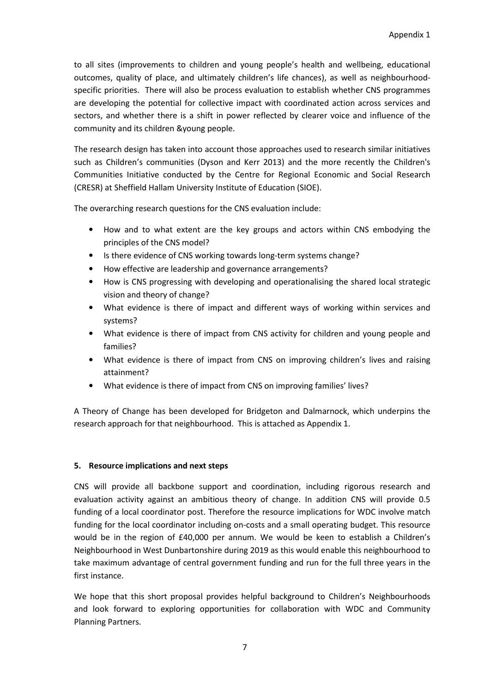to all sites (improvements to children and young people's health and wellbeing, educational outcomes, quality of place, and ultimately children's life chances), as well as neighbourhoodspecific priorities. There will also be process evaluation to establish whether CNS programmes are developing the potential for collective impact with coordinated action across services and sectors, and whether there is a shift in power reflected by clearer voice and influence of the community and its children &young people.

The research design has taken into account those approaches used to research similar initiatives such as Children's communities (Dyson and Kerr 2013) and the more recently the Children's Communities Initiative conducted by the Centre for Regional Economic and Social Research (CRESR) at Sheffield Hallam University Institute of Education (SIOE).

The overarching research questions for the CNS evaluation include:

- How and to what extent are the key groups and actors within CNS embodying the principles of the CNS model?
- Is there evidence of CNS working towards long-term systems change?
- How effective are leadership and governance arrangements?
- How is CNS progressing with developing and operationalising the shared local strategic vision and theory of change?
- What evidence is there of impact and different ways of working within services and systems?
- What evidence is there of impact from CNS activity for children and young people and families?
- What evidence is there of impact from CNS on improving children's lives and raising attainment?
- What evidence is there of impact from CNS on improving families' lives?

A Theory of Change has been developed for Bridgeton and Dalmarnock, which underpins the research approach for that neighbourhood. This is attached as Appendix 1.

# **5. Resource implications and next steps**

CNS will provide all backbone support and coordination, including rigorous research and evaluation activity against an ambitious theory of change. In addition CNS will provide 0.5 funding of a local coordinator post. Therefore the resource implications for WDC involve match funding for the local coordinator including on-costs and a small operating budget. This resource would be in the region of £40,000 per annum. We would be keen to establish a Children's Neighbourhood in West Dunbartonshire during 2019 as this would enable this neighbourhood to take maximum advantage of central government funding and run for the full three years in the first instance.

We hope that this short proposal provides helpful background to Children's Neighbourhoods and look forward to exploring opportunities for collaboration with WDC and Community Planning Partners.